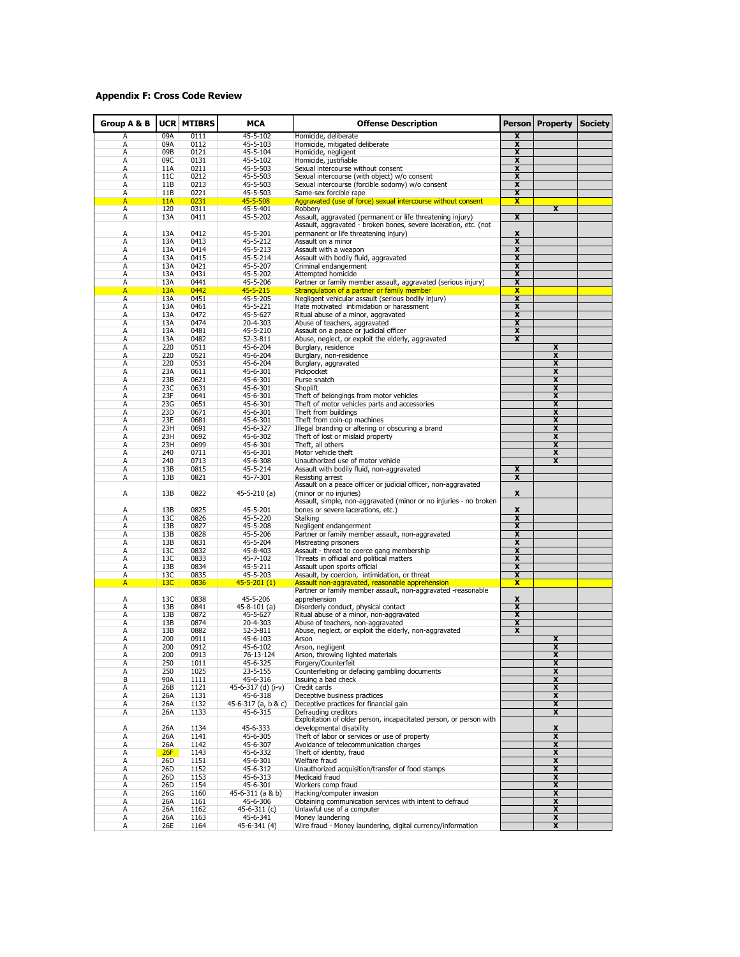## **Appendix F: Cross Code Review**

| Group A & B | <b>UCR</b> | <b>MTIBRS</b> | MCA                      | <b>Offense Description</b>                                           | <b>Person</b>                | Property                | <b>Society</b> |
|-------------|------------|---------------|--------------------------|----------------------------------------------------------------------|------------------------------|-------------------------|----------------|
| А           | 09A        | 0111          | 45-5-102                 | Homicide, deliberate                                                 | X                            |                         |                |
| А           | 09A        | 0112          | 45-5-103                 | Homicide, mitigated deliberate                                       | x                            |                         |                |
| А           | 09B        | 0121          | 45-5-104                 | Homicide, negligent                                                  | $\overline{\mathbf{x}}$      |                         |                |
| А           | 09C        | 0131          | 45-5-102                 | Homicide, justifiable                                                | X                            |                         |                |
| А           | 11A        | 0211          | 45-5-503                 | Sexual intercourse without consent                                   | $\overline{\mathbf{x}}$      |                         |                |
| А           | 11C        | 0212          | 45-5-503                 | Sexual intercourse (with object) w/o consent                         | X                            |                         |                |
| A           | 11B        | 0213          | 45-5-503                 | Sexual intercourse (forcible sodomy) w/o consent                     | $\overline{\mathbf{x}}$      |                         |                |
| А           | 11B        | 0221          | 45-5-503                 | Same-sex forcible rape                                               | x                            |                         |                |
| A           | 11A        | 0231          | 45-5-508                 | Aggravated (use of force) sexual intercourse without consent         | X                            |                         |                |
| А           | 120        | 0311          | 45-5-401                 | Robbery                                                              |                              | X                       |                |
| А           | 13A        | 0411          | 45-5-202                 | Assault, aggravated (permanent or life threatening injury)           | $\overline{\mathbf{x}}$      |                         |                |
|             |            |               |                          | Assault, aggravated - broken bones, severe laceration, etc. (not     |                              |                         |                |
| А           | 13A        | 0412          | 45-5-201                 | permanent or life threatening injury)                                | X                            |                         |                |
| А           | 13A        | 0413          | 45-5-212                 | Assault on a minor                                                   | x                            |                         |                |
| A           | 13A        | 0414          | 45-5-213                 | Assault with a weapon                                                | $\overline{\mathbf{x}}$      |                         |                |
| Α           | 13A        | 0415          | 45-5-214                 | Assault with bodily fluid, aggravated                                | x                            |                         |                |
| А           | 13A        | 0421          | 45-5-207                 | Criminal endangerment                                                | $\overline{\mathbf{x}}$      |                         |                |
| Α           | 13A        | 0431          | 45-5-202                 | Attempted homicide                                                   | X                            |                         |                |
| А           | 13A        | 0441          | 45-5-206                 | Partner or family member assault, aggravated (serious injury)        | $\overline{\mathbf{x}}$      |                         |                |
| A           | 13A        | 0442          | $45 - 5 - 215$           | Strangulation of a partner or family member                          | x                            |                         |                |
| А           | 13A        | 0451          | 45-5-205                 | Negligent vehicular assault (serious bodily injury)                  | $\overline{\mathbf{x}}$<br>X |                         |                |
| А<br>А      | 13A<br>13A | 0461<br>0472  | 45-5-221<br>45-5-627     | Hate motivated intimidation or harassment                            | X                            |                         |                |
| А           | 13A        | 0474          | 20-4-303                 | Ritual abuse of a minor, aggravated<br>Abuse of teachers, aggravated | $\overline{\mathbf{x}}$      |                         |                |
| А           | 13A        | 0481          | 45-5-210                 | Assault on a peace or judicial officer                               | X                            |                         |                |
| А           | 13A        | 0482          | 52-3-811                 | Abuse, neglect, or exploit the elderly, aggravated                   | $\overline{\mathbf{x}}$      |                         |                |
| А           | 220        | 0511          | 45-6-204                 | Burglary, residence                                                  |                              | X                       |                |
| А           | 220        | 0521          | 45-6-204                 | Burglary, non-residence                                              |                              | $\overline{\mathbf{x}}$ |                |
| А           | 220        | 0531          | 45-6-204                 | Burglary, aggravated                                                 |                              | X                       |                |
| А           | 23A        | 0611          | 45-6-301                 | Pickpocket                                                           |                              | X                       |                |
| А           | 23B        | 0621          | 45-6-301                 | Purse snatch                                                         |                              | X                       |                |
| А           | 23C        | 0631          | 45-6-301                 | Shoplift                                                             |                              | $\overline{\mathbf{x}}$ |                |
| А           | 23F        | 0641          | 45-6-301                 | Theft of belongings from motor vehicles                              |                              | X                       |                |
| А           | 23G        | 0651          | 45-6-301                 | Theft of motor vehicles parts and accessories                        |                              | $\overline{\mathbf{x}}$ |                |
| А           | 23D        | 0671          | 45-6-301                 | Theft from buildings                                                 |                              | X                       |                |
| А           | 23E        | 0681          | 45-6-301                 | Theft from coin-op machines                                          |                              | X                       |                |
| Α           | 23H        | 0691          | 45-6-327                 | Illegal branding or altering or obscuring a brand                    |                              | X                       |                |
| А           | 23H        | 0692          | 45-6-302                 | Theft of lost or mislaid property                                    |                              | $\overline{\mathbf{x}}$ |                |
| А           | 23H        | 0699          | 45-6-301                 | Theft, all others                                                    |                              | X                       |                |
| А           | 240        | 0711          | 45-6-301                 | Motor vehicle theft                                                  |                              | $\overline{\mathbf{x}}$ |                |
| Α           | 240        | 0713          | 45-6-308                 | Unauthorized use of motor vehicle                                    |                              | X                       |                |
| А           | 13B        | 0815          | 45-5-214                 | Assault with bodily fluid, non-aggravated                            | X                            |                         |                |
| A           | 13B        | 0821          | 45-7-301                 | Resisting arrest                                                     | X                            |                         |                |
|             |            |               |                          | Assault on a peace officer or judicial officer, non-aggravated       |                              |                         |                |
| А           | 13B        | 0822          | 45-5-210 (a)             | (minor or no injuries)                                               | x                            |                         |                |
|             |            |               |                          | Assault, simple, non-aggravated (minor or no injuries - no broken    |                              |                         |                |
| А           | 13B        | 0825          | 45-5-201                 | bones or severe lacerations, etc.)                                   | X                            |                         |                |
| А           | 13C        | 0826          | 45-5-220                 | Stalking                                                             | $\overline{\mathbf{x}}$      |                         |                |
| Α           | 13B        | 0827          | 45-5-208                 | Negligent endangerment                                               | x                            |                         |                |
| А           | 13B        | 0828          | 45-5-206                 | Partner or family member assault, non-aggravated                     | $\overline{\mathbf{x}}$      |                         |                |
| Α           | 13B        | 0831          | 45-5-204                 | Mistreating prisoners                                                | x                            |                         |                |
| A           | 13C        | 0832          | 45-8-403                 | Assault - threat to coerce gang membership                           | $\overline{\mathbf{x}}$      |                         |                |
| Α           | 13C        | 0833          | 45-7-102                 | Threats in official and political matters                            | x                            |                         |                |
| А           | 13B        | 0834          | 45-5-211                 | Assault upon sports official                                         | $\overline{\mathbf{x}}$      |                         |                |
| А           | 13C        | 0835          | 45-5-203                 | Assault, by coercion, intimidation, or threat                        | X                            |                         |                |
| A           | 13C        | 0836          | $45 - 5 - 201(1)$        | Assault non-aggravated, reasonable apprehension                      | X                            |                         |                |
|             |            |               |                          | Partner or family member assault, non-aggravated -reasonable         |                              |                         |                |
| А<br>А      | 13C<br>13B | 0838<br>0841  | 45-5-206<br>45-8-101 (a) | apprehension<br>Disorderly conduct, physical contact                 | x<br>X                       |                         |                |
| А           | 13B        | 0872          | 45-5-627                 | Ritual abuse of a minor, non-aggravated                              | X                            |                         |                |
| А           | 13B        | 0874          | 20-4-303                 | Abuse of teachers, non-aggravated                                    | X                            |                         |                |
| А           | 13B        | 0882          | 52-3-811                 | Abuse, neglect, or exploit the elderly, non-aggravated               | $\overline{\mathbf{x}}$      |                         |                |
| А           | 200        | 0911          | 45-6-103                 | Arson                                                                |                              | X                       |                |
| А           | 200        | 0912          | 45-6-102                 | Arson, negligent                                                     |                              | $\overline{\mathbf{x}}$ |                |
| А           | 200        | 0913          | 76-13-124                | Arson, throwing lighted materials                                    |                              | x                       |                |
| Α           | 250        | 1011          | 45-6-325                 | Forgery/Counterfeit                                                  |                              | X                       |                |
| А           | 250        | 1025          | 23-5-155                 | Counterfeiting or defacing gambling documents                        |                              | X                       |                |
| В           | 90A        | 1111          | 45-6-316                 | Issuing a bad check                                                  |                              | X                       |                |
| А           | 26B        | 1121          | 45-6-317 (d) (i-v)       | Credit cards                                                         |                              | X                       |                |
| А           | 26A        | 1131          | 45-6-318                 | Deceptive business practices                                         |                              | X                       |                |
| А           | 26A        | 1132          | 45-6-317 (a, b & c)      | Deceptive practices for financial gain                               |                              | X                       |                |
| Α           | 26A        | 1133          | 45-6-315                 | Defrauding creditors                                                 |                              | X                       |                |
|             |            |               |                          | Exploitation of older person, incapacitated person, or person with   |                              |                         |                |
| А           | 26A        | 1134          | 45-6-333                 | developmental disability                                             |                              | X                       |                |
| А           | 26A        | 1141          | 45-6-305                 | Theft of labor or services or use of property                        |                              | X                       |                |
| А           | 26A        | 1142          | 45-6-307                 | Avoidance of telecommunication charges                               |                              | X                       |                |
| А           | 26F        | 1143          | 45-6-332                 | Theft of identity, fraud                                             |                              | X                       |                |
| А           | 26D        | 1151          | 45-6-301                 | Welfare fraud                                                        |                              | X                       |                |
| А           | 26D        | 1152          | 45-6-312                 | Unauthorized acquisition/transfer of food stamps                     |                              | X                       |                |
| А           | 26D        | 1153          | 45-6-313                 | Medicaid fraud                                                       |                              | X                       |                |
| Α           | 26D        | 1154          | 45-6-301                 | Workers comp fraud                                                   |                              | X                       |                |
| А           | 26G        | 1160          | 45-6-311 (a & b)         | Hacking/computer invasion                                            |                              | x                       |                |
| А           | 26A        | 1161          | 45-6-306                 | Obtaining communication services with intent to defraud              |                              | $\overline{\mathbf{x}}$ |                |
| А           | 26A        | 1162          | 45-6-311 (c)             | Unlawful use of a computer                                           |                              | X                       |                |
| Α           | 26A        | 1163          | 45-6-341                 | Money laundering                                                     |                              | $\overline{\mathbf{x}}$ |                |
| Α           | 26E        | 1164          | 45-6-341 (4)             | Wire fraud - Money laundering, digital currency/information          |                              | x                       |                |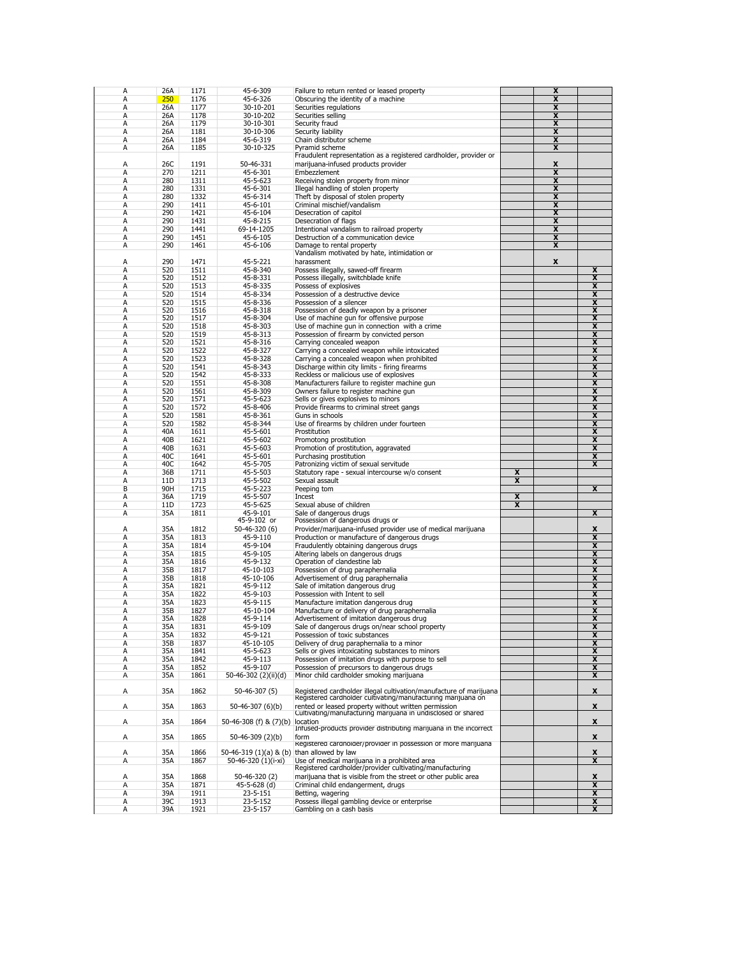| А<br>А |     |      |                                            |                                                                                                                                    |                         |                         |                         |
|--------|-----|------|--------------------------------------------|------------------------------------------------------------------------------------------------------------------------------------|-------------------------|-------------------------|-------------------------|
|        | 26A | 1171 | 45-6-309                                   | Failure to return rented or leased property                                                                                        |                         | X                       |                         |
|        | 250 | 1176 | 45-6-326                                   | Obscuring the identity of a machine                                                                                                |                         | $\overline{\mathbf{x}}$ |                         |
|        | 26A | 1177 | 30-10-201                                  |                                                                                                                                    |                         | X                       |                         |
| А      |     |      |                                            | Securities regulations                                                                                                             |                         |                         |                         |
| A      | 26A | 1178 | 30-10-202                                  | Securities selling                                                                                                                 |                         | X                       |                         |
| A      | 26A | 1179 | 30-10-301                                  | Security fraud                                                                                                                     |                         | x                       |                         |
| А      | 26A |      | 30-10-306                                  | Security liability                                                                                                                 |                         | X                       |                         |
|        |     | 1181 |                                            |                                                                                                                                    |                         |                         |                         |
| А      | 26A | 1184 | 45-6-319                                   | Chain distributor scheme                                                                                                           |                         | X                       |                         |
| А      | 26A | 1185 | 30-10-325                                  | Pyramid scheme                                                                                                                     |                         | $\overline{\mathbf{x}}$ |                         |
|        |     |      |                                            |                                                                                                                                    |                         |                         |                         |
|        |     |      |                                            | Fraudulent representation as a registered cardholder, provider or                                                                  |                         |                         |                         |
| Α      | 26C | 1191 | 50-46-331                                  | marijuana-infused products provider                                                                                                |                         | x                       |                         |
| A      | 270 | 1211 | 45-6-301                                   | Embezzlement                                                                                                                       |                         | X                       |                         |
|        |     |      |                                            |                                                                                                                                    |                         |                         |                         |
| A      | 280 | 1311 | 45-5-623                                   | Receiving stolen property from minor                                                                                               |                         | $\overline{\mathbf{x}}$ |                         |
| A      | 280 | 1331 | 45-6-301                                   | Illegal handling of stolen property                                                                                                |                         | x                       |                         |
|        |     |      |                                            |                                                                                                                                    |                         |                         |                         |
| А      | 280 | 1332 | 45-6-314                                   | Theft by disposal of stolen property                                                                                               |                         | X                       |                         |
| А      | 290 | 1411 | 45-6-101                                   | Criminal mischief/vandalism                                                                                                        |                         | X                       |                         |
| А      | 290 | 1421 | 45-6-104                                   | Desecration of capitol                                                                                                             |                         | X                       |                         |
|        |     |      |                                            |                                                                                                                                    |                         |                         |                         |
| A      | 290 | 1431 | 45-8-215                                   | Desecration of flags                                                                                                               |                         | X                       |                         |
| А      | 290 | 1441 | 69-14-1205                                 | Intentional vandalism to railroad property                                                                                         |                         | $\overline{\mathbf{x}}$ |                         |
| А      | 290 | 1451 | 45-6-105                                   | Destruction of a communication device                                                                                              |                         | X                       |                         |
|        |     |      |                                            |                                                                                                                                    |                         |                         |                         |
| А      | 290 | 1461 | 45-6-106                                   | Damage to rental property                                                                                                          |                         | X                       |                         |
|        |     |      |                                            | Vandalism motivated by hate, intimidation or                                                                                       |                         |                         |                         |
| А      | 290 | 1471 | 45-5-221                                   | harassment                                                                                                                         |                         | X                       |                         |
|        |     |      |                                            |                                                                                                                                    |                         |                         |                         |
| А      | 520 | 1511 | 45-8-340                                   | Possess illegally, sawed-off firearm                                                                                               |                         |                         | x                       |
| А      | 520 | 1512 | 45-8-331                                   | Possess illegally, switchblade knife                                                                                               |                         |                         | $\overline{\mathbf{x}}$ |
|        |     |      | 45-8-335                                   |                                                                                                                                    |                         |                         | $\overline{\mathbf{x}}$ |
| А      | 520 | 1513 |                                            | Possess of explosives                                                                                                              |                         |                         |                         |
| А      | 520 | 1514 | 45-8-334                                   | Possession of a destructive device                                                                                                 |                         |                         | X                       |
| А      | 520 | 1515 | 45-8-336                                   | Possession of a silencer                                                                                                           |                         |                         | $\overline{\mathbf{x}}$ |
|        |     |      |                                            |                                                                                                                                    |                         |                         |                         |
| А      | 520 | 1516 | 45-8-318                                   | Possession of deadly weapon by a prisoner                                                                                          |                         |                         | X                       |
| A      | 520 | 1517 | 45-8-304                                   | Use of machine gun for offensive purpose                                                                                           |                         |                         | $\overline{\mathbf{x}}$ |
| A      | 520 | 1518 | 45-8-303                                   | Use of machine qun in connection with a crime                                                                                      |                         |                         | x                       |
|        |     |      |                                            |                                                                                                                                    |                         |                         |                         |
| А      | 520 | 1519 | 45-8-313                                   | Possession of firearm by convicted person                                                                                          |                         |                         | X                       |
| А      | 520 | 1521 | 45-8-316                                   | Carrying concealed weapon                                                                                                          |                         |                         | x                       |
|        |     |      | 45-8-327                                   |                                                                                                                                    |                         |                         |                         |
| А      | 520 | 1522 |                                            | Carrying a concealed weapon while intoxicated                                                                                      |                         |                         | X                       |
| А      | 520 | 1523 | 45-8-328                                   | Carrying a concealed weapon when prohibited                                                                                        |                         |                         | $\overline{\mathbf{x}}$ |
| А      | 520 | 1541 | 45-8-343                                   | Discharge within city limits - firing firearms                                                                                     |                         |                         | X                       |
|        |     |      |                                            |                                                                                                                                    |                         |                         |                         |
| А      | 520 | 1542 | 45-8-333                                   | Reckless or malicious use of explosives                                                                                            |                         |                         | $\overline{\mathbf{x}}$ |
| А      | 520 | 1551 | 45-8-308                                   | Manufacturers failure to register machine gun                                                                                      |                         |                         | X                       |
| А      | 520 | 1561 | 45-8-309                                   | Owners failure to register machine gun                                                                                             |                         |                         | $\overline{\mathbf{x}}$ |
|        |     |      |                                            |                                                                                                                                    |                         |                         |                         |
| А      | 520 | 1571 | 45-5-623                                   | Sells or gives explosives to minors                                                                                                |                         |                         | X                       |
| А      | 520 | 1572 | 45-8-406                                   | Provide firearms to criminal street gangs                                                                                          |                         |                         | $\overline{\mathbf{x}}$ |
|        |     |      |                                            |                                                                                                                                    |                         |                         |                         |
| А      | 520 | 1581 | 45-8-361                                   | Guns in schools                                                                                                                    |                         |                         | X                       |
| А      | 520 | 1582 | 45-8-344                                   | Use of firearms by children under fourteen                                                                                         |                         |                         | $\overline{\mathbf{x}}$ |
| А      | 40A | 1611 | 45-5-601                                   | Prostitution                                                                                                                       |                         |                         | x                       |
|        |     |      |                                            |                                                                                                                                    |                         |                         |                         |
| А      | 40B | 1621 | 45-5-602                                   | Promotong prostitution                                                                                                             |                         |                         | $\overline{\mathbf{x}}$ |
| А      | 40B | 1631 | 45-5-603                                   | Promotion of prostitution, aggravated                                                                                              |                         |                         | X                       |
| А      | 40C | 1641 |                                            |                                                                                                                                    |                         |                         | X                       |
|        |     |      | 45-5-601                                   | Purchasing prostitution                                                                                                            |                         |                         |                         |
| A      | 40C | 1642 | 45-5-705                                   | Patronizing victim of sexual servitude                                                                                             |                         |                         | x                       |
| А      | 36B | 1711 | 45-5-503                                   | Statutory rape - sexual intercourse w/o consent                                                                                    | x                       |                         |                         |
|        |     |      |                                            |                                                                                                                                    |                         |                         |                         |
| А      | 11D | 1713 | 45-5-502                                   | Sexual assault                                                                                                                     | X                       |                         |                         |
|        |     |      |                                            | Peeping tom                                                                                                                        |                         |                         |                         |
|        |     |      |                                            |                                                                                                                                    |                         |                         |                         |
| B      | 90H | 1715 | 45-5-223                                   |                                                                                                                                    |                         |                         | X                       |
| A      | 36A | 1719 | 45-5-507                                   | Incest                                                                                                                             | X                       |                         |                         |
| А      | 11D | 1723 | 45-5-625                                   | Sexual abuse of children                                                                                                           | $\overline{\mathbf{x}}$ |                         |                         |
|        |     |      |                                            |                                                                                                                                    |                         |                         |                         |
| А      | 35A | 1811 | 45-9-101                                   | Sale of dangerous drugs                                                                                                            |                         |                         | X                       |
|        |     |      | 45-9-102 or                                | Possession of dangerous drugs or                                                                                                   |                         |                         |                         |
| A      |     |      |                                            |                                                                                                                                    |                         |                         |                         |
|        | 35A | 1812 | 50-46-320 (6)                              | Provider/marijuana-infused provider use of medical marijuana                                                                       |                         |                         | x                       |
| А      | 35A | 1813 | 45-9-110                                   | Production or manufacture of dangerous drugs                                                                                       |                         |                         | X                       |
| А      | 35A | 1814 | 45-9-104                                   | Fraudulently obtaining dangerous drugs                                                                                             |                         |                         | x                       |
| А      | 35A | 1815 | 45-9-105                                   |                                                                                                                                    |                         |                         |                         |
|        |     |      |                                            | Altering labels on dangerous drugs                                                                                                 |                         |                         | X                       |
| A      | 35A | 1816 | 45-9-132                                   | Operation of clandestine lab                                                                                                       |                         |                         | x                       |
| А      | 35B | 1817 | 45-10-103                                  | Possession of drug paraphernalia                                                                                                   |                         |                         | X                       |
|        |     |      |                                            |                                                                                                                                    |                         |                         |                         |
| А      | 35B | 1818 | 45-10-106                                  | Advertisement of drug paraphernalia                                                                                                |                         |                         | x                       |
| А      | 35A | 1821 | 45-9-112                                   | Sale of imitation dangerous drug                                                                                                   |                         |                         | X                       |
| А      | 35A | 1822 | 45-9-103                                   | Possession with Intent to sell                                                                                                     |                         |                         | $\overline{\mathbf{x}}$ |
|        |     |      |                                            |                                                                                                                                    |                         |                         |                         |
| А      | 35A | 1823 | 45-9-115                                   | Manufacture imitation dangerous drug                                                                                               |                         |                         | X                       |
| А      | 35B | 1827 | 45-10-104                                  | Manufacture or delivery of drug paraphernalia                                                                                      |                         |                         | $\overline{\mathbf{x}}$ |
| А      | 35A | 1828 | 45-9-114                                   | Advertisement of imitation dangerous drug                                                                                          |                         |                         | X                       |
|        |     |      |                                            |                                                                                                                                    |                         |                         |                         |
| А      | 35A | 1831 | 45-9-109                                   | Sale of dangerous drugs on/near school property                                                                                    |                         |                         | A                       |
| А      | 35A | 1832 | 45-9-121                                   | Possession of toxic substances                                                                                                     |                         |                         | X                       |
| А      | 35B | 1837 | 45-10-105                                  | Delivery of drug paraphernalia to a minor                                                                                          |                         |                         | $\overline{\mathbf{x}}$ |
|        |     |      |                                            |                                                                                                                                    |                         |                         |                         |
| А      | 35A | 1841 | 45-5-623                                   | Sells or gives intoxicating substances to minors                                                                                   |                         |                         | X                       |
| А      | 35A | 1842 | 45-9-113                                   | Possession of imitation drugs with purpose to sell                                                                                 |                         |                         | $\overline{\mathbf{x}}$ |
|        | 35A | 1852 | 45-9-107                                   |                                                                                                                                    |                         |                         |                         |
| А      |     |      |                                            | Possession of precursors to dangerous drugs                                                                                        |                         |                         | x                       |
| Α      | 35A | 1861 | 50-46-302 (2)(ii)(d)                       | Minor child cardholder smoking marijuana                                                                                           |                         |                         | X                       |
|        |     |      |                                            |                                                                                                                                    |                         |                         |                         |
| Α      | 35A | 1862 | $50-46-307(5)$                             |                                                                                                                                    |                         |                         | x                       |
|        |     |      |                                            |                                                                                                                                    |                         |                         |                         |
|        |     |      |                                            | Registered cardholder illegal cultivation/manufacture of marijuana<br>Registered cardholder cultivating/manufacturing marijuana on |                         |                         |                         |
| Α      | 35A | 1863 | 50-46-307 (6)(b)                           |                                                                                                                                    |                         |                         | x                       |
|        |     |      |                                            |                                                                                                                                    |                         |                         |                         |
|        |     |      |                                            | rented or leased property without written permission<br>Cultivating/manufacturing marijuana in undisclosed or shared               |                         |                         |                         |
| Α      | 35A | 1864 | 50-46-308 (f) & (7)(b)                     | location                                                                                                                           |                         |                         | x                       |
|        |     |      |                                            | Infused-products provider distributing marijuana in the incorrect                                                                  |                         |                         |                         |
| Α      | 35A | 1865 | 50-46-309 (2)(b)                           | form                                                                                                                               |                         |                         | x                       |
|        |     |      |                                            |                                                                                                                                    |                         |                         |                         |
|        |     |      |                                            | Registered cardnoider/provider in possession of more marijuana                                                                     |                         |                         |                         |
| A      | 35A | 1866 | 50-46-319 (1)(a) & (b) than allowed by law |                                                                                                                                    |                         |                         | x                       |
| Α      | 35A | 1867 | 50-46-320 (1)(i-xi)                        | Use of medical marijuana in a prohibited area                                                                                      |                         |                         | $\overline{\mathbf{x}}$ |
|        |     |      |                                            |                                                                                                                                    |                         |                         |                         |
|        |     |      |                                            | Registered cardholder/provider cultivating/manufacturing                                                                           |                         |                         |                         |
| А      | 35A | 1868 | 50-46-320 (2)                              | marijuana that is visible from the street or other public area                                                                     |                         |                         | x                       |
| Α      |     |      |                                            |                                                                                                                                    |                         |                         |                         |
|        | 35A | 1871 | 45-5-628 (d)                               | Criminal child endangerment, drugs                                                                                                 |                         |                         | x                       |
| А      | 39A | 1911 | 23-5-151                                   | Betting, wagering                                                                                                                  |                         |                         | X                       |
| A      | 39C | 1913 | 23-5-152                                   | Possess illegal gambling device or enterprise                                                                                      |                         |                         | x                       |
| А      | 39A | 1921 | 23-5-157                                   | Gambling on a cash basis                                                                                                           |                         |                         | X                       |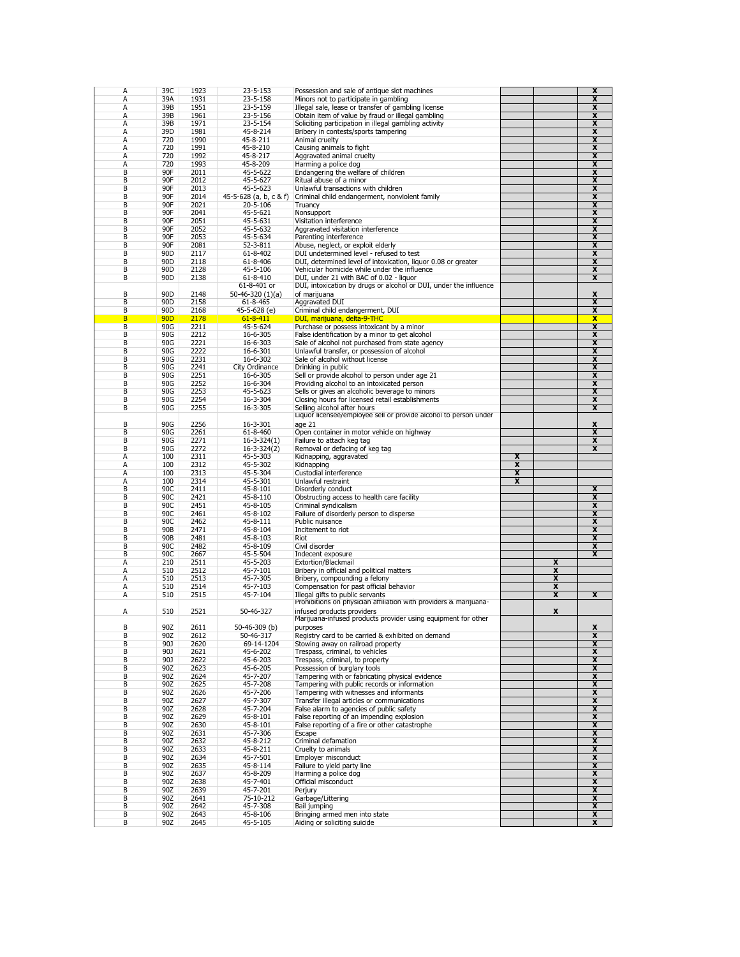| A      | 39C             | 1923         | 23-5-153               | Possession and sale of antique slot machines                      |   |                         | X                       |
|--------|-----------------|--------------|------------------------|-------------------------------------------------------------------|---|-------------------------|-------------------------|
| Α      | 39A             | 1931         | 23-5-158               | Minors not to participate in gambling                             |   |                         | $\overline{\mathbf{x}}$ |
| A      | 39B             | 1951         | 23-5-159               | Illegal sale, lease or transfer of gambling license               |   |                         | x                       |
|        |                 |              |                        |                                                                   |   |                         |                         |
| A      | 39B             | 1961         | 23-5-156               | Obtain item of value by fraud or illegal gambling                 |   |                         | x                       |
| A      | 39B             | 1971         | 23-5-154               | Soliciting participation in illegal gambling activity             |   |                         | X                       |
| A      | 39D             | 1981         | 45-8-214               | Bribery in contests/sports tampering                              |   |                         | x                       |
| А      | 720             | 1990         | 45-8-211               | Animal cruelty                                                    |   |                         | X                       |
|        |                 |              |                        |                                                                   |   |                         |                         |
| А      | 720             | 1991         | 45-8-210               | Causing animals to fight                                          |   |                         | x                       |
| A      | 720             | 1992         | 45-8-217               | Aggravated animal cruelty                                         |   |                         | X                       |
| A      | 720             | 1993         | 45-8-209               |                                                                   |   |                         |                         |
|        |                 |              |                        | Harming a police dog                                              |   |                         | x                       |
| B      | 90F             | 2011         | 45-5-622               | Endangering the welfare of children                               |   |                         | X                       |
| B      | 90F             | 2012         | 45-5-627               | Ritual abuse of a minor                                           |   |                         | x                       |
| B      | 90F             | 2013         | 45-5-623               | Unlawful transactions with children                               |   |                         | X                       |
|        |                 |              |                        |                                                                   |   |                         |                         |
| B      | 90F             | 2014         | 45-5-628 (a, b, c & f) | Criminal child endangerment, nonviolent family                    |   |                         | x                       |
| B      | 90F             | 2021         | 20-5-106               | Truancy                                                           |   |                         | X                       |
| B      | 90F             | 2041         | 45-5-621               | Nonsupport                                                        |   |                         | X                       |
|        |                 |              |                        |                                                                   |   |                         |                         |
| В      | 90F             | 2051         | 45-5-631               | Visitation interference                                           |   |                         | X                       |
| B      | 90F             | 2052         | 45-5-632               | Aggravated visitation interference                                |   |                         | $\overline{\mathbf{x}}$ |
| B      | 90F             | 2053         | 45-5-634               | Parenting interference                                            |   |                         | x                       |
| B      | 90F             | 2081         | 52-3-811               | Abuse, neglect, or exploit elderly                                |   |                         | $\overline{\mathbf{x}}$ |
|        |                 |              |                        |                                                                   |   |                         |                         |
| В      | 90 <sub>D</sub> | 2117         | 61-8-402               | DUI undetermined level - refused to test                          |   |                         | X                       |
| B      | 90 <sub>D</sub> | 2118         | 61-8-406               | DUI, determined level of intoxication, liquor 0.08 or greater     |   |                         | $\overline{\mathbf{x}}$ |
| B      | 90 <sub>D</sub> | 2128         | 45-5-106               | Vehicular homicide while under the influence                      |   |                         | X                       |
|        |                 |              |                        |                                                                   |   |                         |                         |
| В      | 90 <sub>D</sub> | 2138         | 61-8-410               | DUI, under 21 with BAC of 0.02 - liquor                           |   |                         | X                       |
|        |                 |              | 61-8-401 or            | DUI, intoxication by drugs or alcohol or DUI, under the influence |   |                         |                         |
| B      | 90 <sub>D</sub> | 2148         | 50-46-320 (1)(a)       | of marijuana                                                      |   |                         | x                       |
| B      | 90 <sub>D</sub> | 2158         |                        | Aggravated DUI                                                    |   |                         | X                       |
|        |                 |              | 61-8-465               |                                                                   |   |                         |                         |
| B      | 90 <sub>D</sub> | 2168         | 45-5-628 (e)           | Criminal child endangerment, DUI                                  |   |                         | $\overline{\mathbf{x}}$ |
| B      | <b>90D</b>      | 2178         | $61 - 8 - 411$         | DUI, marijuana, delta-9-THC                                       |   |                         | $\overline{\mathbf{x}}$ |
| B      | 90G             | 2211         | 45-5-624               | Purchase or possess intoxicant by a minor                         |   |                         | $\overline{\mathbf{x}}$ |
|        |                 |              |                        |                                                                   |   |                         |                         |
| B      | 90G             | 2212         | 16-6-305               | False identification by a minor to get alcohol                    |   |                         | X                       |
| В      | 90G             | 2221         | 16-6-303               | Sale of alcohol not purchased from state agency                   |   |                         | X                       |
| B      | 90G             | 2222         | 16-6-301               | Unlawful transfer, or possession of alcohol                       |   |                         | x                       |
|        |                 |              |                        |                                                                   |   |                         |                         |
| B      | 90G             | 2231         | 16-6-302               | Sale of alcohol without license                                   |   |                         | X                       |
| B      | 90G             | 2241         | City Ordinance         | Drinking in public                                                |   |                         | x                       |
| B      | 90G             | 2251         | 16-6-305               | Sell or provide alcohol to person under age 21                    |   |                         | X                       |
|        |                 |              |                        |                                                                   |   |                         |                         |
| B      | 90G             | 2252         | 16-6-304               | Providing alcohol to an intoxicated person                        |   |                         | x                       |
| B      | 90G             | 2253         | 45-5-623               | Sells or gives an alcoholic beverage to minors                    |   |                         | X                       |
| B      | 90G             | 2254         | 16-3-304               | Closing hours for licensed retail establishments                  |   |                         | x                       |
| B      | 90G             | 2255         | 16-3-305               | Selling alcohol after hours                                       |   |                         | x                       |
|        |                 |              |                        |                                                                   |   |                         |                         |
|        |                 |              |                        | Liquor licensee/employee sell or provide alcohol to person under  |   |                         |                         |
| B      | 90G             | 2256         | 16-3-301               | age 21                                                            |   |                         | X                       |
| B      | 90G             | 2261         | 61-8-460               | Open container in motor vehicle on highway                        |   |                         | x                       |
|        |                 |              |                        |                                                                   |   |                         |                         |
| B      | 90G             | 2271         | $16 - 3 - 324(1)$      | Failure to attach keg tag                                         |   |                         | X                       |
| B      |                 |              |                        |                                                                   |   |                         |                         |
|        | 90G             | 2272         |                        |                                                                   |   |                         | X                       |
|        |                 |              | $16 - 3 - 324(2)$      | Removal or defacing of keg tag                                    |   |                         |                         |
| A      | 100             | 2311         | 45-5-303               | Kidnapping, aggravated                                            | X |                         |                         |
| A      | 100             | 2312         | 45-5-302               | Kidnapping                                                        | x |                         |                         |
|        |                 |              |                        |                                                                   |   |                         |                         |
| А      | 100             | 2313         | 45-5-304               | Custodial interference                                            | X |                         |                         |
| А      | 100             | 2314         | 45-5-301               | Unlawful restraint                                                | X |                         |                         |
| В      | 90C             | 2411         | 45-8-101               | Disorderly conduct                                                |   |                         | x                       |
| B      | 90C             | 2421         | 45-8-110               | Obstructing access to health care facility                        |   |                         | $\overline{\mathbf{x}}$ |
|        |                 |              |                        |                                                                   |   |                         |                         |
| B      | 90C             | 2451         | 45-8-105               | Criminal syndicalism                                              |   |                         | X                       |
| B      | 90C             | 2461         | 45-8-102               | Failure of disorderly person to disperse                          |   |                         | $\overline{\mathbf{x}}$ |
| В      | 90C             | 2462         | 45-8-111               | Public nuisance                                                   |   |                         | X                       |
|        |                 |              |                        |                                                                   |   |                         |                         |
| B      | 90B             | 2471         | 45-8-104               | Incitement to riot                                                |   |                         | $\overline{\mathbf{x}}$ |
| B      | 90B             | 2481         | 45-8-103               | Riot                                                              |   |                         | X                       |
| В      | 90C             | 2482         | 45-8-109               | Civil disorder                                                    |   |                         | $\overline{\mathbf{x}}$ |
| В      | 90C             | 2667         | 45-5-504               | Indecent exposure                                                 |   |                         | x                       |
|        |                 |              |                        |                                                                   |   |                         |                         |
| Α      | 210             | 2511         | 45-5-203               | Extortion/Blackmail                                               |   | $\overline{\mathbf{x}}$ |                         |
| Α      | 510             | 2512         | 45-7-101               | Bribery in official and political matters                         |   | $\overline{\mathbf{x}}$ |                         |
| А      | 510             | 2513         | 45-7-305               | Bribery, compounding a felony                                     |   | X                       |                         |
| A      | 510             | 2514         | 45-7-103               | Compensation for past official behavior                           |   | x                       |                         |
| A      |                 |              |                        |                                                                   |   | $\overline{\mathbf{x}}$ | X                       |
|        | 510             | 2515         | 45-7-104               | Illegal gifts to public servants                                  |   |                         |                         |
|        |                 |              |                        | Prohibitions on physician affiliation with providers & marijuana- |   |                         |                         |
| А      | 510             | 2521         | 50-46-327              | infused products providers                                        |   | X                       |                         |
|        |                 |              |                        | Marijuana-infused products provider using equipment for other     |   |                         |                         |
|        |                 |              |                        |                                                                   |   |                         |                         |
| B      | 90Z             | 2611         | 50-46-309 (b)          | purposes                                                          |   |                         | X                       |
| В      | 90Z             | 2612         | 50-46-317              | Registry card to be carried & exhibited on demand                 |   |                         | X                       |
| В      | 90J             | 2620         | 69-14-1204             | Stowing away on railroad property                                 |   |                         | X                       |
| В      | 90J             | 2621         |                        | Trespass, criminal, to vehicles                                   |   |                         | x                       |
|        |                 |              | 45-6-202               |                                                                   |   |                         |                         |
| В      | 90J             | 2622         | 45-6-203               | Trespass, criminal, to property                                   |   |                         | X                       |
| В      | 90Z             | 2623         | 45-6-205               | Possession of burglary tools                                      |   |                         | x                       |
| В      | 90Z             | 2624         | 45-7-207               | Tampering with or fabricating physical evidence                   |   |                         | X                       |
|        |                 |              |                        |                                                                   |   |                         |                         |
| В      | 90Z             | 2625         | 45-7-208               | Tampering with public records or information                      |   |                         | x                       |
| В      | 90Z             | 2626         | 45-7-206               | Tampering with witnesses and informants                           |   |                         | X                       |
| В      | 90Z             | 2627         | 45-7-307               | Transfer illegal articles or communications                       |   |                         | x                       |
| В      | 90Z             | 2628         | 45-7-204               | False alarm to agencies of public safety                          |   |                         | X                       |
|        |                 |              |                        |                                                                   |   |                         |                         |
| В      | 90Z             | 2629         | 45-8-101               | False reporting of an impending explosion                         |   |                         | x                       |
| В      | 90Z             | 2630         | 45-8-101               | False reporting of a fire or other catastrophe                    |   |                         | X                       |
| В      | 90Z             | 2631         | 45-7-306               | Escape                                                            |   |                         | x                       |
|        |                 |              |                        |                                                                   |   |                         |                         |
| В      | 90Z             | 2632         | 45-8-212               | Criminal defamation                                               |   |                         | X                       |
| В      | 90Z             | 2633         | 45-8-211               | Cruelty to animals                                                |   |                         | x                       |
| В      | 90Z             | 2634         | 45-7-501               | Employer misconduct                                               |   |                         | X                       |
| В      | 90Z             | 2635         | 45-8-114               | Failure to yield party line                                       |   |                         | $\overline{\mathbf{x}}$ |
|        |                 |              |                        |                                                                   |   |                         |                         |
| В      | 90Z             | 2637         | 45-8-209               | Harming a police dog                                              |   |                         | x                       |
| В      | 90Z             | 2638         | 45-7-401               | Official misconduct                                               |   |                         | $\overline{\mathbf{x}}$ |
| В      | 90Z             | 2639         | 45-7-201               | Perjury                                                           |   |                         | X                       |
| В      |                 | 2641         |                        |                                                                   |   |                         |                         |
|        | 90Z             |              | 75-10-212              | Garbage/Littering                                                 |   |                         | $\overline{\mathbf{x}}$ |
| В      | 90Z             | 2642         | 45-7-308               | Bail jumping                                                      |   |                         | x                       |
| В<br>В | 90Z<br>90Z      | 2643<br>2645 | 45-8-106<br>45-5-105   | Bringing armed men into state<br>Aiding or soliciting suicide     |   |                         | X<br>x                  |